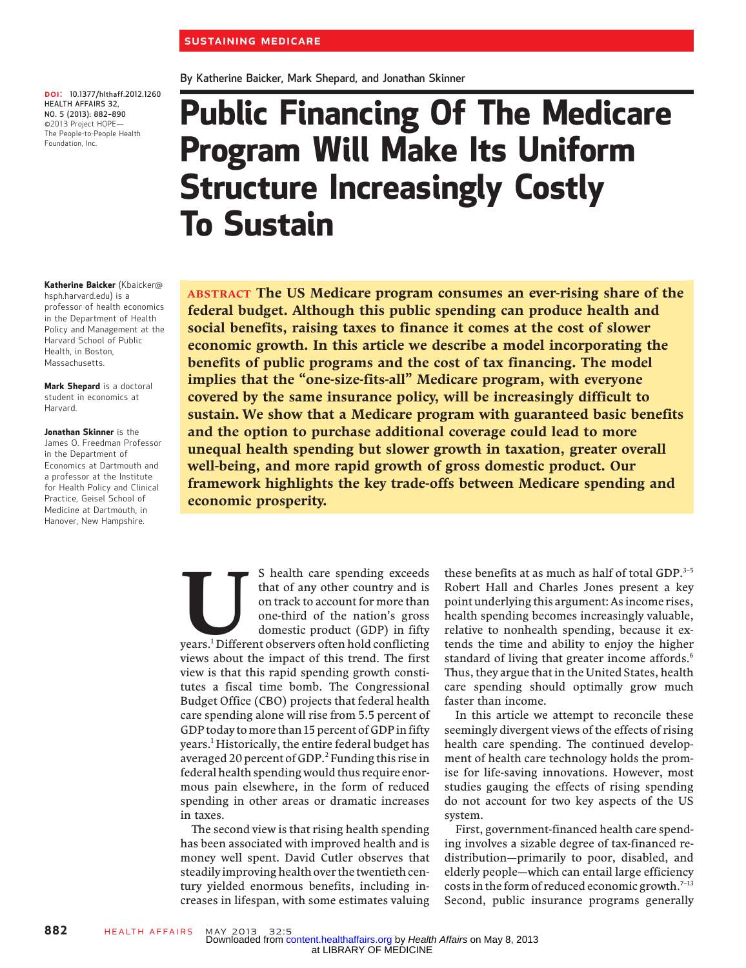#### Sustaining Medicare

DOI: 10.1377/hlthaff.2012.1260 **DOI:** 10.1377/hlthaff.<br>HEALTH AFFAIRS 32,<br>NO. 5 (2013): 882–890 NO. 5 (2013): 882-890<br>©2013 Project HOPE— The People-to-People Health Foundation, Inc.

Katherine Baicker (Kbaicker@ hsph.harvard.edu) is a professor of health economics in the Department of Health Policy and Management at the Harvard School of Public Health, in Boston, Massachusetts.

Mark Shepard is a doctoral student in economics at Harvard.

Jonathan Skinner is the James O. Freedman Professor in the Department of Economics at Dartmouth and a professor at the Institute for Health Policy and Clinical Practice, Geisel School of Medicine at Dartmouth, in Hanover, New Hampshire.

By Katherine Baicker, Mark Shepard, and Jonathan Skinner

# Public Financing Of The Medicare Program Will Make Its Uniform Structure Increasingly Costly To Sustain

ABSTRACT The US Medicare program consumes an ever-rising share of the federal budget. Although this public spending can produce health and social benefits, raising taxes to finance it comes at the cost of slower economic growth. In this article we describe a model incorporating the benefits of public programs and the cost of tax financing. The model implies that the "one-size-fits-all" Medicare program, with everyone covered by the same insurance policy, will be increasingly difficult to sustain. We show that a Medicare program with guaranteed basic benefits and the option to purchase additional coverage could lead to more unequal health spending but slower growth in taxation, greater overall well-being, and more rapid growth of gross domestic product. Our framework highlights the key trade-offs between Medicare spending and economic prosperity.

S health care spending exceeds<br>that of any other country and is<br>on track to account for more than<br>one-third of the nation's gross<br>domestic product (GDP) in fifty<br>years.<sup>1</sup> Different observers often hold conflicting that of any other country and is on track to account for more than one-third of the nation's gross domestic product (GDP) in fifty views about the impact of this trend. The first view is that this rapid spending growth constitutes a fiscal time bomb. The Congressional Budget Office (CBO) projects that federal health care spending alone will rise from 5.5 percent of GDP today to more than 15 percent of GDP in fifty years.<sup>1</sup> Historically, the entire federal budget has averaged 20 percent of GDP.<sup>2</sup> Funding this rise in federal health spending would thus require enormous pain elsewhere, in the form of reduced spending in other areas or dramatic increases in taxes.

The second view is that rising health spending has been associated with improved health and is money well spent. David Cutler observes that steadily improving health over the twentieth century yielded enormous benefits, including increases in lifespan, with some estimates valuing

these benefits at as much as half of total GDP.<sup>3-5</sup> Robert Hall and Charles Jones present a key point underlying this argument: As income rises, health spending becomes increasingly valuable, relative to nonhealth spending, because it extends the time and ability to enjoy the higher standard of living that greater income affords.<sup>6</sup> Thus, they argue that in the United States, health care spending should optimally grow much faster than income.

In this article we attempt to reconcile these seemingly divergent views of the effects of rising health care spending. The continued development of health care technology holds the promise for life-saving innovations. However, most studies gauging the effects of rising spending do not account for two key aspects of the US system.

First, government-financed health care spending involves a sizable degree of tax-financed redistribution—primarily to poor, disabled, and elderly people—which can entail large efficiency costs in the form of reduced economic growth.<sup>7-13</sup> Second, public insurance programs generally

at LIBRARY OF MEDICINE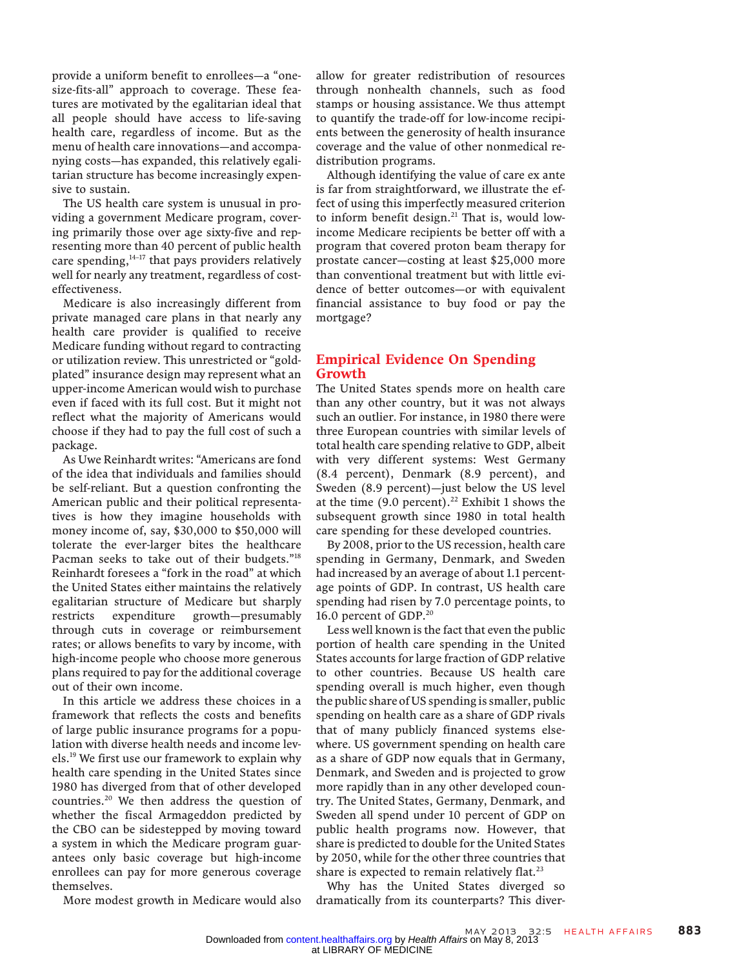provide a uniform benefit to enrollees—a "onesize-fits-all" approach to coverage. These features are motivated by the egalitarian ideal that all people should have access to life-saving health care, regardless of income. But as the menu of health care innovations—and accompanying costs—has expanded, this relatively egalitarian structure has become increasingly expensive to sustain.

The US health care system is unusual in providing a government Medicare program, covering primarily those over age sixty-five and representing more than 40 percent of public health care spending, $14-17$  that pays providers relatively well for nearly any treatment, regardless of costeffectiveness.

Medicare is also increasingly different from private managed care plans in that nearly any health care provider is qualified to receive Medicare funding without regard to contracting or utilization review. This unrestricted or "goldplated" insurance design may represent what an upper-income American would wish to purchase even if faced with its full cost. But it might not reflect what the majority of Americans would choose if they had to pay the full cost of such a package.

As Uwe Reinhardt writes: "Americans are fond of the idea that individuals and families should be self-reliant. But a question confronting the American public and their political representatives is how they imagine households with money income of, say, \$30,000 to \$50,000 will tolerate the ever-larger bites the healthcare Pacman seeks to take out of their budgets."<sup>18</sup> Reinhardt foresees a "fork in the road" at which the United States either maintains the relatively egalitarian structure of Medicare but sharply restricts expenditure growth—presumably through cuts in coverage or reimbursement rates; or allows benefits to vary by income, with high-income people who choose more generous plans required to pay for the additional coverage out of their own income.

In this article we address these choices in a framework that reflects the costs and benefits of large public insurance programs for a population with diverse health needs and income levels.19 We first use our framework to explain why health care spending in the United States since 1980 has diverged from that of other developed countries.20 We then address the question of whether the fiscal Armageddon predicted by the CBO can be sidestepped by moving toward a system in which the Medicare program guarantees only basic coverage but high-income enrollees can pay for more generous coverage themselves.

More modest growth in Medicare would also

allow for greater redistribution of resources through nonhealth channels, such as food stamps or housing assistance. We thus attempt to quantify the trade-off for low-income recipients between the generosity of health insurance coverage and the value of other nonmedical redistribution programs.

Although identifying the value of care ex ante is far from straightforward, we illustrate the effect of using this imperfectly measured criterion to inform benefit design. $21$  That is, would lowincome Medicare recipients be better off with a program that covered proton beam therapy for prostate cancer—costing at least \$25,000 more than conventional treatment but with little evidence of better outcomes—or with equivalent financial assistance to buy food or pay the mortgage?

## Empirical Evidence On Spending Growth

The United States spends more on health care than any other country, but it was not always such an outlier. For instance, in 1980 there were three European countries with similar levels of total health care spending relative to GDP, albeit with very different systems: West Germany (8.4 percent), Denmark (8.9 percent), and Sweden (8.9 percent)—just below the US level at the time  $(9.0 \text{ percent})$ .<sup>22</sup> Exhibit 1 shows the subsequent growth since 1980 in total health care spending for these developed countries.

By 2008, prior to the US recession, health care spending in Germany, Denmark, and Sweden had increased by an average of about 1.1 percentage points of GDP. In contrast, US health care spending had risen by 7.0 percentage points, to 16.0 percent of GDP.<sup>20</sup>

Less well known is the fact that even the public portion of health care spending in the United States accounts for large fraction of GDP relative to other countries. Because US health care spending overall is much higher, even though the public share of US spending is smaller, public spending on health care as a share of GDP rivals that of many publicly financed systems elsewhere. US government spending on health care as a share of GDP now equals that in Germany, Denmark, and Sweden and is projected to grow more rapidly than in any other developed country. The United States, Germany, Denmark, and Sweden all spend under 10 percent of GDP on public health programs now. However, that share is predicted to double for the United States by 2050, while for the other three countries that share is expected to remain relatively flat.<sup>23</sup>

Why has the United States diverged so dramatically from its counterparts? This diver-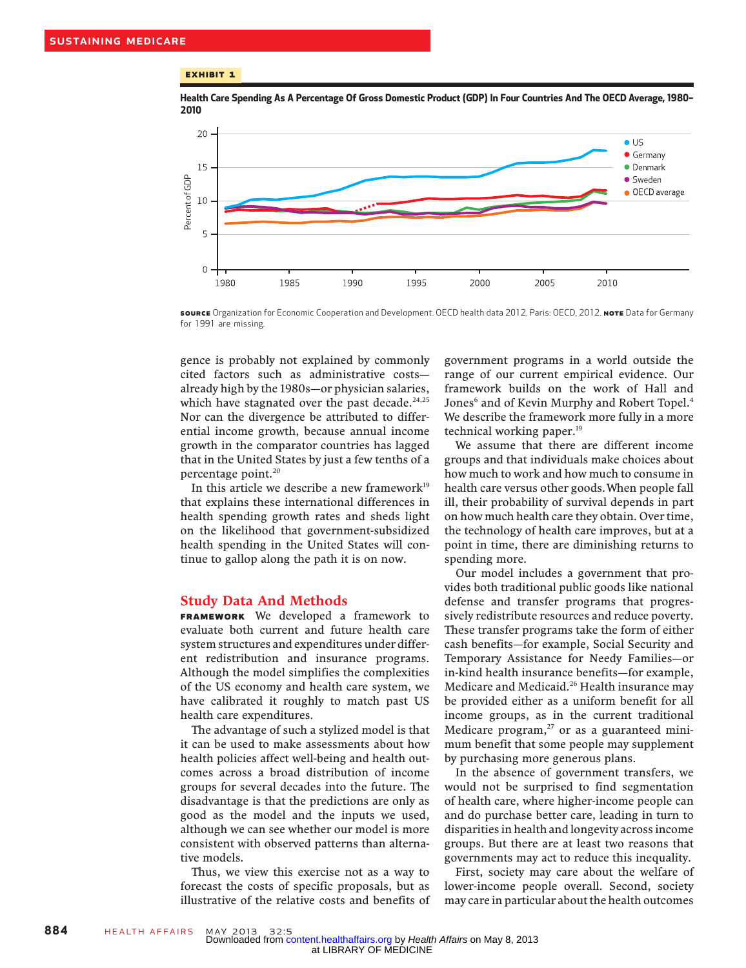#### Exhibit 1

Health Care Spending As A Percentage Of Gross Domestic Product (GDP) In Four Countries And The OECD Average, 1980– 2010



source Organization for Economic Cooperation and Development. OECD health data 2012. Paris: OECD, 2012. Nore Data for Germany for 1991 are missing.

gence is probably not explained by commonly cited factors such as administrative costs already high by the 1980s—or physician salaries, which have stagnated over the past decade. $24,25$ Nor can the divergence be attributed to differential income growth, because annual income growth in the comparator countries has lagged that in the United States by just a few tenths of a percentage point.<sup>20</sup>

In this article we describe a new framework $19$ that explains these international differences in health spending growth rates and sheds light on the likelihood that government-subsidized health spending in the United States will continue to gallop along the path it is on now.

### Study Data And Methods

Framework We developed a framework to evaluate both current and future health care system structures and expenditures under different redistribution and insurance programs. Although the model simplifies the complexities of the US economy and health care system, we have calibrated it roughly to match past US health care expenditures.

The advantage of such a stylized model is that it can be used to make assessments about how health policies affect well-being and health outcomes across a broad distribution of income groups for several decades into the future. The disadvantage is that the predictions are only as good as the model and the inputs we used, although we can see whether our model is more consistent with observed patterns than alternative models.

Thus, we view this exercise not as a way to forecast the costs of specific proposals, but as illustrative of the relative costs and benefits of government programs in a world outside the range of our current empirical evidence. Our framework builds on the work of Hall and Jones<sup>6</sup> and of Kevin Murphy and Robert Topel.<sup>4</sup> We describe the framework more fully in a more technical working paper.<sup>19</sup>

We assume that there are different income groups and that individuals make choices about how much to work and how much to consume in health care versus other goods.When people fall ill, their probability of survival depends in part on how much health care they obtain. Over time, the technology of health care improves, but at a point in time, there are diminishing returns to spending more.

Our model includes a government that provides both traditional public goods like national defense and transfer programs that progressively redistribute resources and reduce poverty. These transfer programs take the form of either cash benefits—for example, Social Security and Temporary Assistance for Needy Families—or in-kind health insurance benefits—for example, Medicare and Medicaid.<sup>26</sup> Health insurance may be provided either as a uniform benefit for all income groups, as in the current traditional Medicare program, $27$  or as a guaranteed minimum benefit that some people may supplement by purchasing more generous plans.

In the absence of government transfers, we would not be surprised to find segmentation of health care, where higher-income people can and do purchase better care, leading in turn to disparities in health and longevity across income groups. But there are at least two reasons that governments may act to reduce this inequality.

First, society may care about the welfare of lower-income people overall. Second, society may care in particular about the health outcomes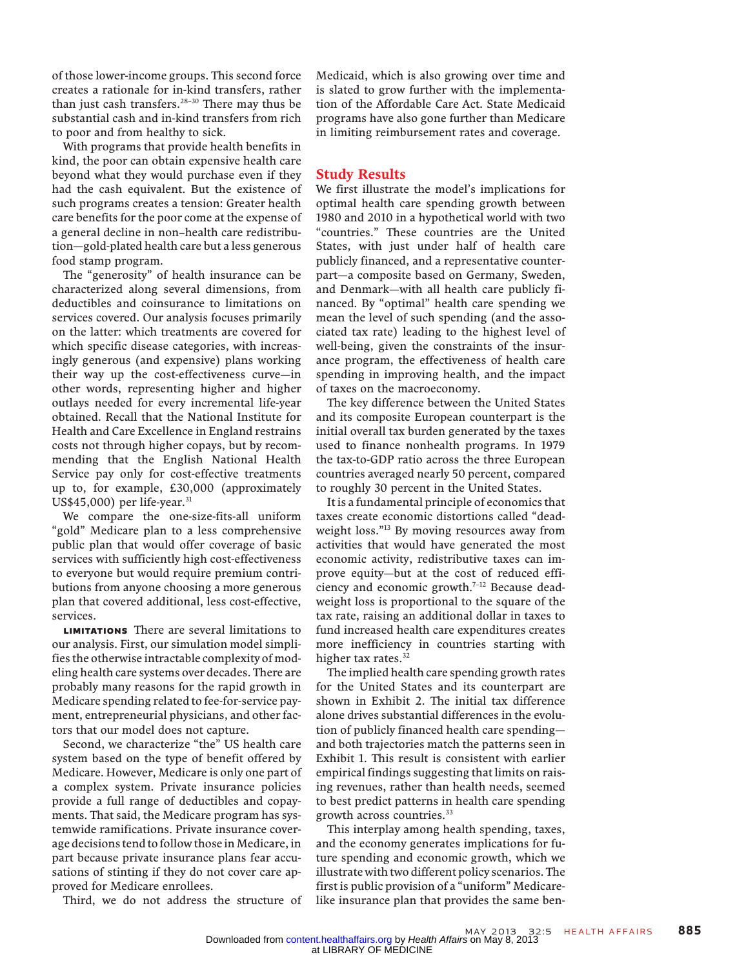of those lower-income groups. This second force creates a rationale for in-kind transfers, rather than just cash transfers. $28-30$  There may thus be substantial cash and in-kind transfers from rich to poor and from healthy to sick.

With programs that provide health benefits in kind, the poor can obtain expensive health care beyond what they would purchase even if they had the cash equivalent. But the existence of such programs creates a tension: Greater health care benefits for the poor come at the expense of a general decline in non–health care redistribution—gold-plated health care but a less generous food stamp program.

The "generosity" of health insurance can be characterized along several dimensions, from deductibles and coinsurance to limitations on services covered. Our analysis focuses primarily on the latter: which treatments are covered for which specific disease categories, with increasingly generous (and expensive) plans working their way up the cost-effectiveness curve—in other words, representing higher and higher outlays needed for every incremental life-year obtained. Recall that the National Institute for Health and Care Excellence in England restrains costs not through higher copays, but by recommending that the English National Health Service pay only for cost-effective treatments up to, for example, £30,000 (approximately US\$45,000) per life-year.<sup>31</sup>

We compare the one-size-fits-all uniform "gold" Medicare plan to a less comprehensive public plan that would offer coverage of basic services with sufficiently high cost-effectiveness to everyone but would require premium contributions from anyone choosing a more generous plan that covered additional, less cost-effective, services.

Limitations There are several limitations to our analysis. First, our simulation model simplifies the otherwise intractable complexity of modeling health care systems over decades. There are probably many reasons for the rapid growth in Medicare spending related to fee-for-service payment, entrepreneurial physicians, and other factors that our model does not capture.

Second, we characterize "the" US health care system based on the type of benefit offered by Medicare. However, Medicare is only one part of a complex system. Private insurance policies provide a full range of deductibles and copayments. That said, the Medicare program has systemwide ramifications. Private insurance coverage decisions tend to follow those in Medicare, in part because private insurance plans fear accusations of stinting if they do not cover care approved for Medicare enrollees.

Third, we do not address the structure of

Medicaid, which is also growing over time and is slated to grow further with the implementation of the Affordable Care Act. State Medicaid programs have also gone further than Medicare in limiting reimbursement rates and coverage.

## Study Results

We first illustrate the model's implications for optimal health care spending growth between 1980 and 2010 in a hypothetical world with two "countries." These countries are the United States, with just under half of health care publicly financed, and a representative counterpart—a composite based on Germany, Sweden, and Denmark—with all health care publicly financed. By "optimal" health care spending we mean the level of such spending (and the associated tax rate) leading to the highest level of well-being, given the constraints of the insurance program, the effectiveness of health care spending in improving health, and the impact of taxes on the macroeconomy.

The key difference between the United States and its composite European counterpart is the initial overall tax burden generated by the taxes used to finance nonhealth programs. In 1979 the tax-to-GDP ratio across the three European countries averaged nearly 50 percent, compared to roughly 30 percent in the United States.

It is a fundamental principle of economics that taxes create economic distortions called "deadweight loss."<sup>13</sup> By moving resources away from activities that would have generated the most economic activity, redistributive taxes can improve equity—but at the cost of reduced efficiency and economic growth.<sup>7-12</sup> Because deadweight loss is proportional to the square of the tax rate, raising an additional dollar in taxes to fund increased health care expenditures creates more inefficiency in countries starting with higher tax rates.<sup>32</sup>

The implied health care spending growth rates for the United States and its counterpart are shown in Exhibit 2. The initial tax difference alone drives substantial differences in the evolution of publicly financed health care spending and both trajectories match the patterns seen in Exhibit 1. This result is consistent with earlier empirical findings suggesting that limits on raising revenues, rather than health needs, seemed to best predict patterns in health care spending growth across countries.<sup>33</sup>

This interplay among health spending, taxes, and the economy generates implications for future spending and economic growth, which we illustrate with two different policy scenarios. The first is public provision of a "uniform" Medicarelike insurance plan that provides the same ben-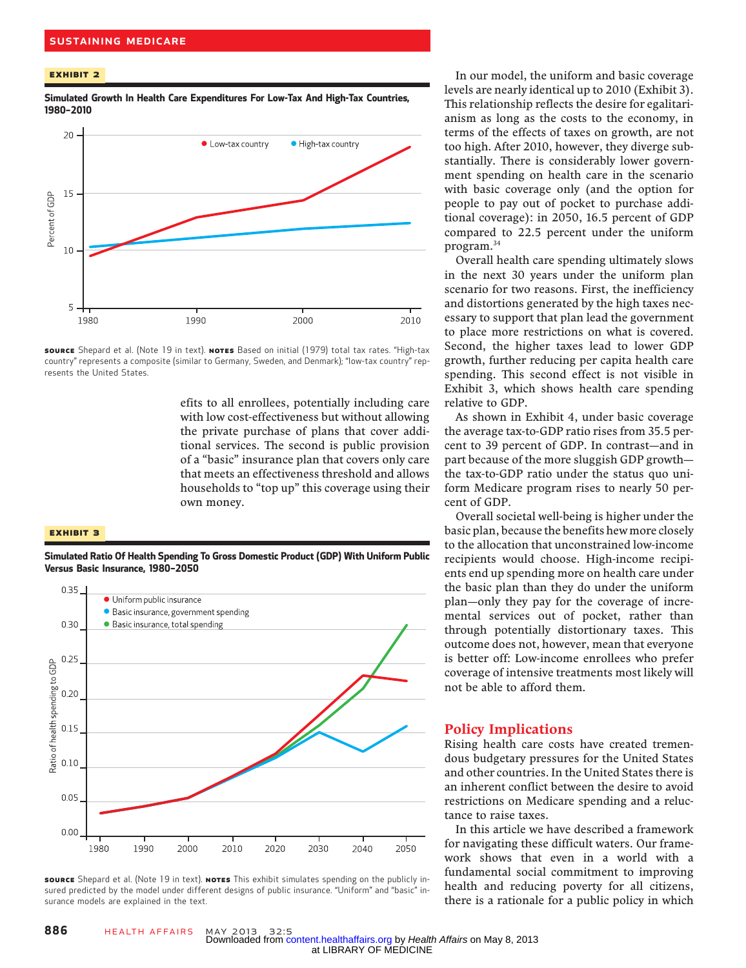#### Exhibit 2

Simulated Growth In Health Care Expenditures For Low-Tax And High-Tax Countries, <sup>1980</sup>–<sup>2010</sup>



source Shepard et al. (Note 19 in text). Notes Based on initial (1979) total tax rates. "High-tax country" represents a composite (similar to Germany, Sweden, and Denmark); "low-tax country" represents the United States.

efits to all enrollees, potentially including care with low cost-effectiveness but without allowing the private purchase of plans that cover additional services. The second is public provision of a "basic" insurance plan that covers only care that meets an effectiveness threshold and allows households to "top up" this coverage using their own money.

#### Exhibit 3

Simulated Ratio Of Health Spending To Gross Domestic Product (GDP) With Uniform Public Versus Basic Insurance, 1980–<sup>2050</sup>



source Shepard et al. (Note 19 in text). Notes This exhibit simulates spending on the publicly insured predicted by the model under different designs of public insurance. "Uniform" and "basic" insurance models are explained in the text.

In our model, the uniform and basic coverage levels are nearly identical up to 2010 (Exhibit 3). This relationship reflects the desire for egalitarianism as long as the costs to the economy, in terms of the effects of taxes on growth, are not too high. After 2010, however, they diverge substantially. There is considerably lower government spending on health care in the scenario with basic coverage only (and the option for people to pay out of pocket to purchase additional coverage): in 2050, 16.5 percent of GDP compared to 22.5 percent under the uniform program.34

Overall health care spending ultimately slows in the next 30 years under the uniform plan scenario for two reasons. First, the inefficiency and distortions generated by the high taxes necessary to support that plan lead the government to place more restrictions on what is covered. Second, the higher taxes lead to lower GDP growth, further reducing per capita health care spending. This second effect is not visible in Exhibit 3, which shows health care spending relative to GDP.

As shown in Exhibit 4, under basic coverage the average tax-to-GDP ratio rises from 35.5 percent to 39 percent of GDP. In contrast—and in part because of the more sluggish GDP growth the tax-to-GDP ratio under the status quo uniform Medicare program rises to nearly 50 percent of GDP.

Overall societal well-being is higher under the basic plan, because the benefits hew more closely to the allocation that unconstrained low-income recipients would choose. High-income recipients end up spending more on health care under the basic plan than they do under the uniform plan—only they pay for the coverage of incremental services out of pocket, rather than through potentially distortionary taxes. This outcome does not, however, mean that everyone is better off: Low-income enrollees who prefer coverage of intensive treatments most likely will not be able to afford them.

## Policy Implications

Rising health care costs have created tremendous budgetary pressures for the United States and other countries. In the United States there is an inherent conflict between the desire to avoid restrictions on Medicare spending and a reluctance to raise taxes.

In this article we have described a framework for navigating these difficult waters. Our framework shows that even in a world with a fundamental social commitment to improving health and reducing poverty for all citizens, there is a rationale for a public policy in which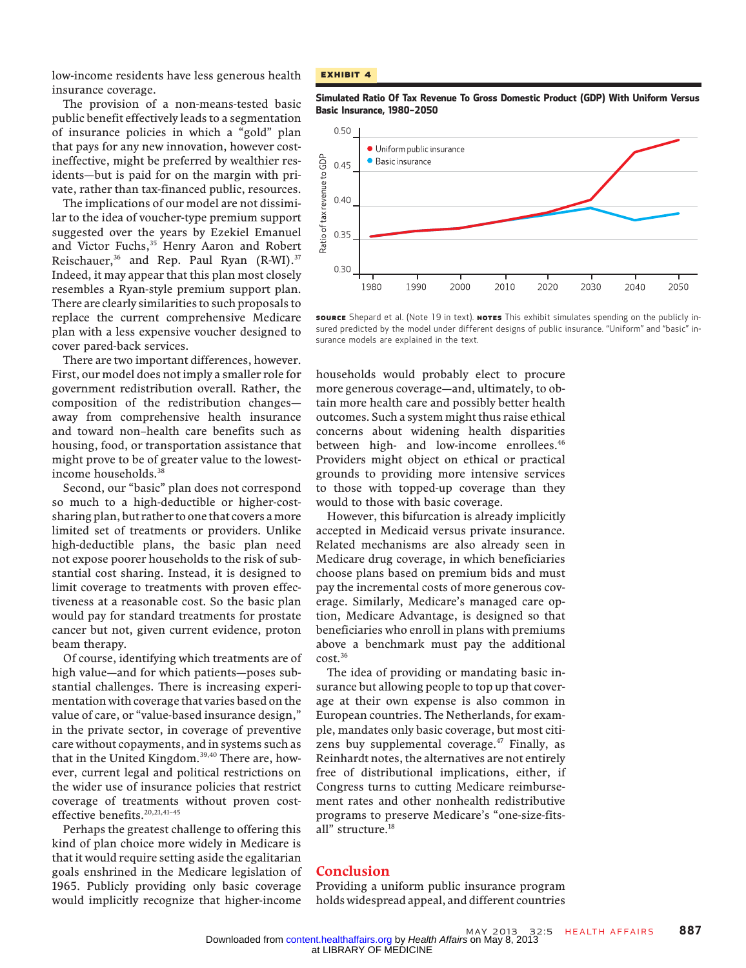low-income residents have less generous health insurance coverage.

## The provision of a non-means-tested basic public benefit effectively leads to a segmentation of insurance policies in which a "gold" plan that pays for any new innovation, however costineffective, might be preferred by wealthier residents—but is paid for on the margin with private, rather than tax-financed public, resources.

The implications of our model are not dissimilar to the idea of voucher-type premium support suggested over the years by Ezekiel Emanuel and Victor Fuchs,<sup>35</sup> Henry Aaron and Robert Reischauer, $36$  and Rep. Paul Ryan (R-WI). $37$ Indeed, it may appear that this plan most closely resembles a Ryan-style premium support plan. There are clearly similarities to such proposals to replace the current comprehensive Medicare plan with a less expensive voucher designed to cover pared-back services.

There are two important differences, however. First, our model does not imply a smaller role for government redistribution overall. Rather, the composition of the redistribution changes away from comprehensive health insurance and toward non–health care benefits such as housing, food, or transportation assistance that might prove to be of greater value to the lowestincome households.<sup>38</sup>

Second, our "basic" plan does not correspond so much to a high-deductible or higher-costsharing plan, but rather to one that covers a more limited set of treatments or providers. Unlike high-deductible plans, the basic plan need not expose poorer households to the risk of substantial cost sharing. Instead, it is designed to limit coverage to treatments with proven effectiveness at a reasonable cost. So the basic plan would pay for standard treatments for prostate cancer but not, given current evidence, proton beam therapy.

Of course, identifying which treatments are of high value—and for which patients—poses substantial challenges. There is increasing experimentation with coverage that varies based on the value of care, or "value-based insurance design," in the private sector, in coverage of preventive care without copayments, and in systems such as that in the United Kingdom.<sup>39,40</sup> There are, however, current legal and political restrictions on the wider use of insurance policies that restrict coverage of treatments without proven costeffective benefits.<sup>20,21,41-45</sup>

Perhaps the greatest challenge to offering this kind of plan choice more widely in Medicare is that it would require setting aside the egalitarian goals enshrined in the Medicare legislation of 1965. Publicly providing only basic coverage would implicitly recognize that higher-income

#### Exhibit 4

Simulated Ratio Of Tax Revenue To Gross Domestic Product (GDP) With Uniform Versus Basic Insurance, 1980–<sup>2050</sup>



source Shepard et al. (Note 19 in text). Notes This exhibit simulates spending on the publicly insured predicted by the model under different designs of public insurance. "Uniform" and "basic" insurance models are explained in the text.

households would probably elect to procure more generous coverage—and, ultimately, to obtain more health care and possibly better health outcomes. Such a system might thus raise ethical concerns about widening health disparities between high- and low-income enrollees.<sup>46</sup> Providers might object on ethical or practical grounds to providing more intensive services to those with topped-up coverage than they would to those with basic coverage.

However, this bifurcation is already implicitly accepted in Medicaid versus private insurance. Related mechanisms are also already seen in Medicare drug coverage, in which beneficiaries choose plans based on premium bids and must pay the incremental costs of more generous coverage. Similarly, Medicare's managed care option, Medicare Advantage, is designed so that beneficiaries who enroll in plans with premiums above a benchmark must pay the additional cost.36

The idea of providing or mandating basic insurance but allowing people to top up that coverage at their own expense is also common in European countries. The Netherlands, for example, mandates only basic coverage, but most citizens buy supplemental coverage.<sup>47</sup> Finally, as Reinhardt notes, the alternatives are not entirely free of distributional implications, either, if Congress turns to cutting Medicare reimbursement rates and other nonhealth redistributive programs to preserve Medicare's "one-size-fitsall" structure.<sup>18</sup>

#### Conclusion

Providing a uniform public insurance program holds widespread appeal, and different countries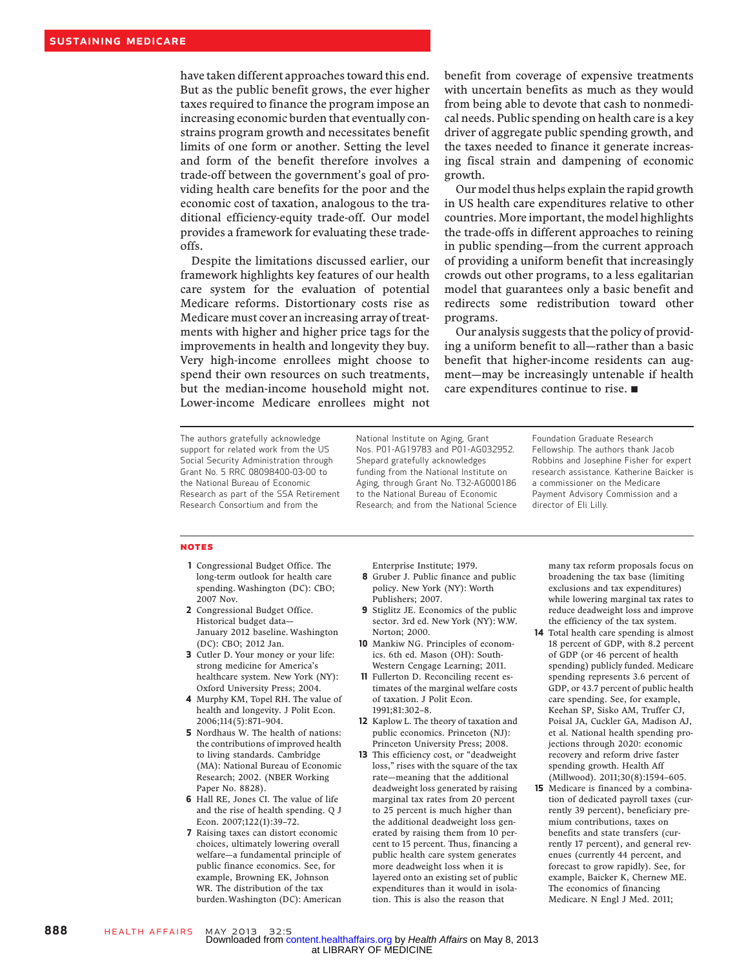have taken different approaches toward this end. But as the public benefit grows, the ever higher taxes required to finance the program impose an increasing economic burden that eventually constrains program growth and necessitates benefit limits of one form or another. Setting the level and form of the benefit therefore involves a trade-off between the government's goal of providing health care benefits for the poor and the economic cost of taxation, analogous to the traditional efficiency-equity trade-off. Our model provides a framework for evaluating these tradeoffs.

Despite the limitations discussed earlier, our framework highlights key features of our health care system for the evaluation of potential Medicare reforms. Distortionary costs rise as Medicare must cover an increasing array of treatments with higher and higher price tags for the improvements in health and longevity they buy. Very high-income enrollees might choose to spend their own resources on such treatments, but the median-income household might not. Lower-income Medicare enrollees might not benefit from coverage of expensive treatments with uncertain benefits as much as they would from being able to devote that cash to nonmedical needs. Public spending on health care is a key driver of aggregate public spending growth, and the taxes needed to finance it generate increasing fiscal strain and dampening of economic growth.

Our model thus helps explain the rapid growth in US health care expenditures relative to other countries.More important, the model highlights the trade-offs in different approaches to reining in public spending—from the current approach of providing a uniform benefit that increasingly crowds out other programs, to a less egalitarian model that guarantees only a basic benefit and redirects some redistribution toward other programs.

Our analysis suggests that the policy of providing a uniform benefit to all—rather than a basic benefit that higher-income residents can augment—may be increasingly untenable if health care expenditures continue to rise.  $\blacksquare$ 

The authors gratefully acknowledge support for related work from the US Social Security Administration through Grant No. 5 RRC 08098400-03-00 to the National Bureau of Economic Research as part of the SSA Retirement Research Consortium and from the

National Institute on Aging, Grant Nos. P01-AG19783 and P01-AG032952. Shepard gratefully acknowledges funding from the National Institute on Aging, through Grant No. T32-AG000186 to the National Bureau of Economic Research; and from the National Science

Foundation Graduate Research Fellowship. The authors thank Jacob Robbins and Josephine Fisher for expert research assistance. Katherine Baicker is a commissioner on the Medicare Payment Advisory Commission and a director of Eli Lilly.

#### NOTES

- 1 Congressional Budget Office. The long-term outlook for health care spending. Washington (DC): CBO; 2007 Nov.
- 2 Congressional Budget Office. Historical budget data— January 2012 baseline. Washington (DC): CBO; 2012 Jan.
- 3 Cutler D. Your money or your life: strong medicine for America's healthcare system. New York (NY): Oxford University Press; 2004.
- 4 Murphy KM, Topel RH. The value of health and longevity. J Polit Econ. 2006;114(5):871–904.
- 5 Nordhaus W. The health of nations: the contributions of improved health to living standards. Cambridge (MA): National Bureau of Economic Research; 2002. (NBER Working Paper No. 8828).
- 6 Hall RE, Jones CI. The value of life and the rise of health spending. Q J Econ. 2007;122(1):39–72.
- 7 Raising taxes can distort economic choices, ultimately lowering overall welfare—a fundamental principle of public finance economics. See, for example, Browning EK, Johnson WR. The distribution of the tax burden.Washington (DC): American

Enterprise Institute; 1979.

- 8 Gruber J. Public finance and public policy. New York (NY): Worth Publishers; 2007.
- 9 Stiglitz JE. Economics of the public sector. 3rd ed. New York (NY): W.W. Norton; 2000.
- 10 Mankiw NG. Principles of economics. 6th ed. Mason (OH): South-Western Cengage Learning; 2011.
- 11 Fullerton D. Reconciling recent estimates of the marginal welfare costs of taxation. J Polit Econ. 1991;81:302–8.
- 12 Kaplow L. The theory of taxation and public economics. Princeton (NJ): Princeton University Press; 2008.
- 13 This efficiency cost, or "deadweight loss," rises with the square of the tax rate—meaning that the additional deadweight loss generated by raising marginal tax rates from 20 percent to 25 percent is much higher than the additional deadweight loss generated by raising them from 10 percent to 15 percent. Thus, financing a public health care system generates more deadweight loss when it is layered onto an existing set of public expenditures than it would in isolation. This is also the reason that

many tax reform proposals focus on broadening the tax base (limiting exclusions and tax expenditures) while lowering marginal tax rates to reduce deadweight loss and improve the efficiency of the tax system.

- 14 Total health care spending is almost 18 percent of GDP, with 8.2 percent of GDP (or 46 percent of health spending) publicly funded. Medicare spending represents 3.6 percent of GDP, or 43.7 percent of public health care spending. See, for example, Keehan SP, Sisko AM, Truffer CJ, Poisal JA, Cuckler GA, Madison AJ, et al. National health spending projections through 2020: economic recovery and reform drive faster spending growth. Health Aff (Millwood). 2011;30(8):1594–605.
- 15 Medicare is financed by a combination of dedicated payroll taxes (currently 39 percent), beneficiary premium contributions, taxes on benefits and state transfers (currently 17 percent), and general revenues (currently 44 percent, and forecast to grow rapidly). See, for example, Baicker K, Chernew ME. The economics of financing Medicare. N Engl J Med. 2011;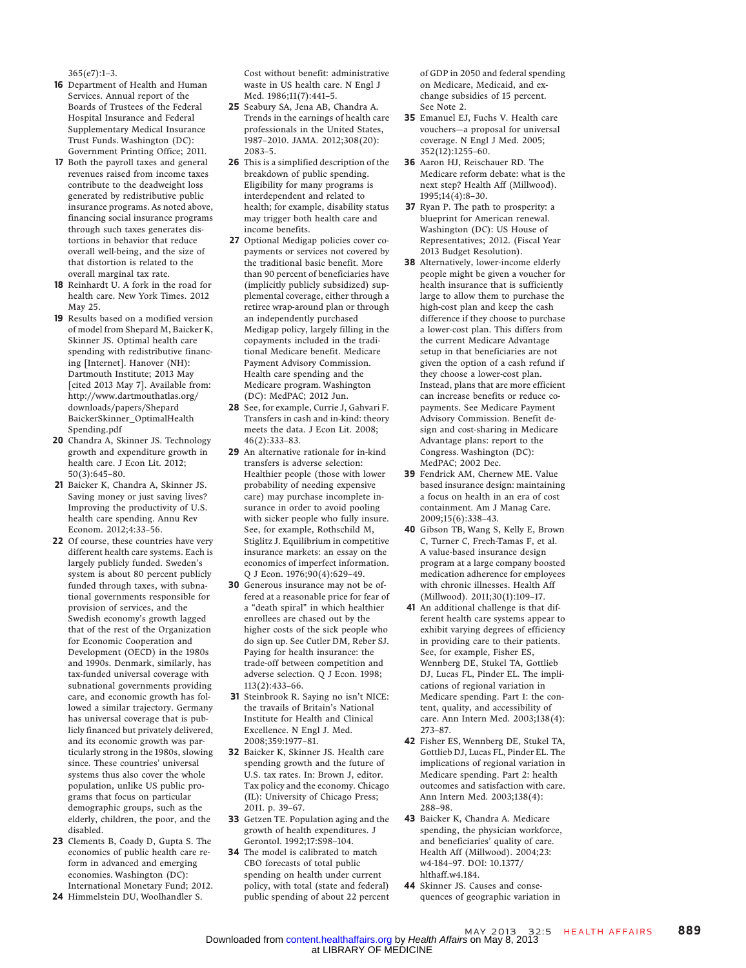365(e7):1–3.

- 16 Department of Health and Human Services. Annual report of the Boards of Trustees of the Federal Hospital Insurance and Federal Supplementary Medical Insurance Trust Funds. Washington (DC): Government Printing Office; 2011.
- 17 Both the payroll taxes and general revenues raised from income taxes contribute to the deadweight loss generated by redistributive public insurance programs. As noted above, financing social insurance programs through such taxes generates distortions in behavior that reduce overall well-being, and the size of that distortion is related to the overall marginal tax rate.
- 18 Reinhardt U. A fork in the road for health care. New York Times. 2012 May 25.
- 19 Results based on a modified version of model from Shepard M, Baicker K, Skinner JS. Optimal health care spending with redistributive financing [Internet]. Hanover (NH): Dartmouth Institute; 2013 May [cited 2013 May 7]. Available from: http://www.dartmouthatlas.org/ downloads/papers/Shepard BaickerSkinner\_OptimalHealth Spending.pdf
- 20 Chandra A, Skinner JS. Technology growth and expenditure growth in health care. J Econ Lit. 2012; 50(3):645–80.
- 21 Baicker K, Chandra A, Skinner JS. Saving money or just saving lives? Improving the productivity of U.S. health care spending. Annu Rev Econom. 2012;4:33–56.
- 22 Of course, these countries have very different health care systems. Each is largely publicly funded. Sweden's system is about 80 percent publicly funded through taxes, with subnational governments responsible for provision of services, and the Swedish economy's growth lagged that of the rest of the Organization for Economic Cooperation and Development (OECD) in the 1980s and 1990s. Denmark, similarly, has tax-funded universal coverage with subnational governments providing care, and economic growth has followed a similar trajectory. Germany has universal coverage that is publicly financed but privately delivered, and its economic growth was particularly strong in the 1980s, slowing since. These countries' universal systems thus also cover the whole population, unlike US public programs that focus on particular demographic groups, such as the elderly, children, the poor, and the disabled.
- 23 Clements B, Coady D, Gupta S. The economics of public health care reform in advanced and emerging economies. Washington (DC): International Monetary Fund; 2012.
- 24 Himmelstein DU, Woolhandler S.

Cost without benefit: administrative waste in US health care. N Engl J Med. 1986;11(7):441–5.

- 25 Seabury SA, Jena AB, Chandra A. Trends in the earnings of health care professionals in the United States, 1987–2010. JAMA. 2012;308(20): 2083–5.
- 26 This is a simplified description of the breakdown of public spending. Eligibility for many programs is interdependent and related to health; for example, disability status may trigger both health care and income benefits.
- 27 Optional Medigap policies cover copayments or services not covered by the traditional basic benefit. More than 90 percent of beneficiaries have (implicitly publicly subsidized) supplemental coverage, either through a retiree wrap-around plan or through an independently purchased Medigap policy, largely filling in the copayments included in the traditional Medicare benefit. Medicare Payment Advisory Commission. Health care spending and the Medicare program. Washington (DC): MedPAC; 2012 Jun.
- 28 See, for example, Currie J, Gahvari F. Transfers in cash and in-kind: theory meets the data. J Econ Lit. 2008; 46(2):333–83.
- 29 An alternative rationale for in-kind transfers is adverse selection: Healthier people (those with lower probability of needing expensive care) may purchase incomplete insurance in order to avoid pooling with sicker people who fully insure. See, for example, Rothschild M, Stiglitz J. Equilibrium in competitive insurance markets: an essay on the economics of imperfect information. Q J Econ. 1976;90(4):629–49.
- 30 Generous insurance may not be offered at a reasonable price for fear of a "death spiral" in which healthier enrollees are chased out by the higher costs of the sick people who do sign up. See Cutler DM, Reber SJ. Paying for health insurance: the trade-off between competition and adverse selection. Q J Econ. 1998; 113(2):433–66.
- 31 Steinbrook R. Saying no isn't NICE: the travails of Britain's National Institute for Health and Clinical Excellence. N Engl J. Med. 2008;359:1977–81.
- 32 Baicker K, Skinner JS. Health care spending growth and the future of U.S. tax rates. In: Brown J, editor. Tax policy and the economy. Chicago (IL): University of Chicago Press; 2011. p. 39–67.
- 33 Getzen TE. Population aging and the growth of health expenditures. J Gerontol. 1992;17:S98–104.
- **34** The model is calibrated to match CBO forecasts of total public spending on health under current policy, with total (state and federal) public spending of about 22 percent

of GDP in 2050 and federal spending on Medicare, Medicaid, and exchange subsidies of 15 percent. See Note 2.

- 35 Emanuel EJ, Fuchs V. Health care vouchers—a proposal for universal coverage. N Engl J Med. 2005; 352(12):1255–60.
- 36 Aaron HJ, Reischauer RD. The Medicare reform debate: what is the next step? Health Aff (Millwood). 1995;14(4):8–30.
- 37 Ryan P. The path to prosperity: a blueprint for American renewal. Washington (DC): US House of Representatives; 2012. (Fiscal Year 2013 Budget Resolution).
- 38 Alternatively, lower-income elderly people might be given a voucher for health insurance that is sufficiently large to allow them to purchase the high-cost plan and keep the cash difference if they choose to purchase a lower-cost plan. This differs from the current Medicare Advantage setup in that beneficiaries are not given the option of a cash refund if they choose a lower-cost plan. Instead, plans that are more efficient can increase benefits or reduce copayments. See Medicare Payment Advisory Commission. Benefit design and cost-sharing in Medicare Advantage plans: report to the Congress. Washington (DC): MedPAC; 2002 Dec.
- 39 Fendrick AM, Chernew ME. Value based insurance design: maintaining a focus on health in an era of cost containment. Am J Manag Care. 2009;15(6):338–43.
- 40 Gibson TB, Wang S, Kelly E, Brown C, Turner C, Frech-Tamas F, et al. A value-based insurance design program at a large company boosted medication adherence for employees with chronic illnesses. Health Aff (Millwood). 2011;30(1):109–17.
- 41 An additional challenge is that different health care systems appear to exhibit varying degrees of efficiency in providing care to their patients. See, for example, Fisher ES, Wennberg DE, Stukel TA, Gottlieb DJ, Lucas FL, Pinder EL. The implications of regional variation in Medicare spending. Part 1: the content, quality, and accessibility of care. Ann Intern Med. 2003;138(4): 273–87.
- 42 Fisher ES, Wennberg DE, Stukel TA, Gottlieb DJ, Lucas FL, Pinder EL. The implications of regional variation in Medicare spending. Part 2: health outcomes and satisfaction with care. Ann Intern Med. 2003;138(4): 288–98.
- 43 Baicker K, Chandra A. Medicare spending, the physician workforce, and beneficiaries' quality of care. Health Aff (Millwood). 2004;23: w4-184–97. DOI: 10.1377/ hlthaff.w4.184.
- 44 Skinner JS. Causes and consequences of geographic variation in